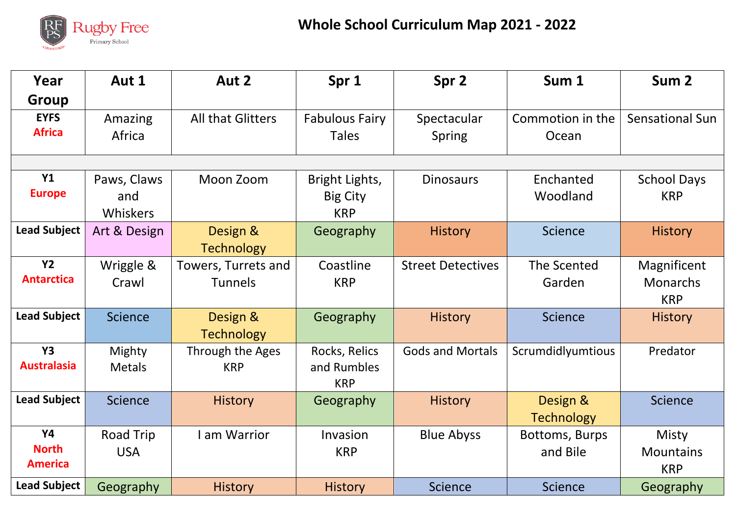

| Year<br>Group                               | Aut 1                          | Aut 2                                 | Spr 1                                           | Spr 2                        | Sum 1                         | Sum <sub>2</sub>                             |  |  |  |  |  |
|---------------------------------------------|--------------------------------|---------------------------------------|-------------------------------------------------|------------------------------|-------------------------------|----------------------------------------------|--|--|--|--|--|
| <b>EYFS</b><br><b>Africa</b>                | Amazing<br>Africa              | <b>All that Glitters</b>              | <b>Fabulous Fairy</b><br><b>Tales</b>           | Spectacular<br><b>Spring</b> | Commotion in the<br>Ocean     | <b>Sensational Sun</b>                       |  |  |  |  |  |
|                                             |                                |                                       |                                                 |                              |                               |                                              |  |  |  |  |  |
| Y1<br><b>Europe</b>                         | Paws, Claws<br>and<br>Whiskers | Moon Zoom                             | Bright Lights,<br><b>Big City</b><br><b>KRP</b> | <b>Dinosaurs</b>             | Enchanted<br>Woodland         | <b>School Days</b><br><b>KRP</b>             |  |  |  |  |  |
| <b>Lead Subject</b>                         | Art & Design                   | Design &<br><b>Technology</b>         | Geography                                       | <b>History</b>               | Science                       | <b>History</b>                               |  |  |  |  |  |
| Y <sub>2</sub><br><b>Antarctica</b>         | Wriggle &<br>Crawl             | Towers, Turrets and<br><b>Tunnels</b> | Coastline<br><b>KRP</b>                         | <b>Street Detectives</b>     | The Scented<br>Garden         | Magnificent<br><b>Monarchs</b><br><b>KRP</b> |  |  |  |  |  |
| <b>Lead Subject</b>                         | <b>Science</b>                 | Design &<br><b>Technology</b>         | Geography                                       | <b>History</b>               | <b>Science</b>                | <b>History</b>                               |  |  |  |  |  |
| <b>Y3</b><br><b>Australasia</b>             | Mighty<br><b>Metals</b>        | Through the Ages<br><b>KRP</b>        | Rocks, Relics<br>and Rumbles<br><b>KRP</b>      | <b>Gods and Mortals</b>      | Scrumdidlyumtious             | Predator                                     |  |  |  |  |  |
| <b>Lead Subject</b>                         | <b>Science</b>                 | <b>History</b>                        | Geography                                       | <b>History</b>               | Design &<br><b>Technology</b> | Science                                      |  |  |  |  |  |
| <b>Y4</b><br><b>North</b><br><b>America</b> | Road Trip<br><b>USA</b>        | I am Warrior                          | Invasion<br><b>KRP</b>                          | <b>Blue Abyss</b>            | Bottoms, Burps<br>and Bile    | Misty<br><b>Mountains</b><br><b>KRP</b>      |  |  |  |  |  |
| <b>Lead Subject</b>                         | Geography                      | <b>History</b>                        | <b>History</b>                                  | <b>Science</b>               | <b>Science</b>                | Geography                                    |  |  |  |  |  |